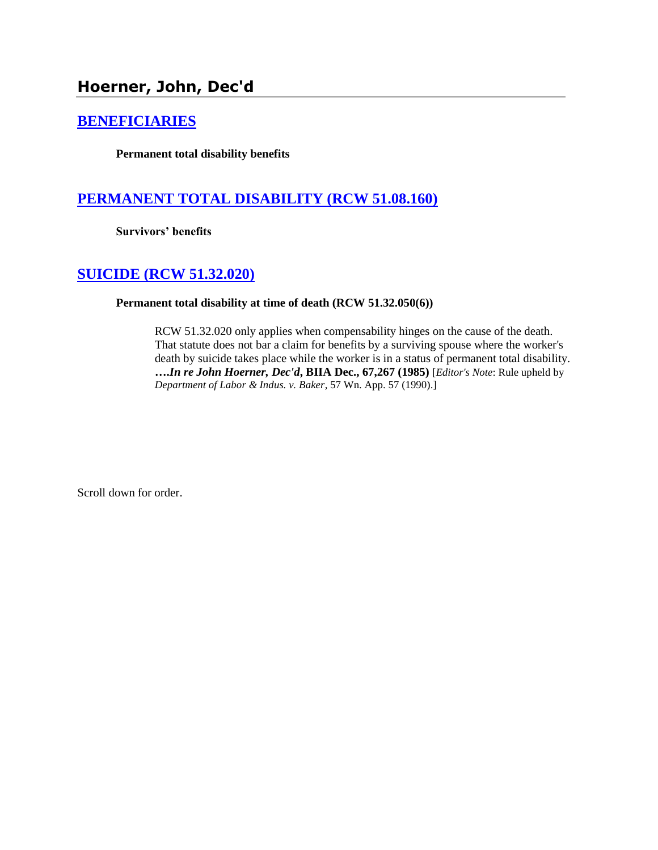# **Hoerner, John, Dec'd**

## **[BENEFICIARIES](http://www.biia.wa.gov/SDSubjectIndex.html#BENEFICIARIES)**

**Permanent total disability benefits**

# **PERMANENT TOTAL [DISABILITY \(RCW 51.08.160\)](http://www.biia.wa.gov/SDSubjectIndex.html#PERMANENT_TOTAL_DISABILITY)**

**Survivors' benefits**

## **[SUICIDE \(RCW 51.32.020\)](http://www.biia.wa.gov/SDSubjectIndex.html#SUICIDE)**

### **Permanent total disability at time of death (RCW 51.32.050(6))**

RCW 51.32.020 only applies when compensability hinges on the cause of the death. That statute does not bar a claim for benefits by a surviving spouse where the worker's death by suicide takes place while the worker is in a status of permanent total disability. **….***In re John Hoerner, Dec'd***, BIIA Dec., 67,267 (1985)** [*Editor's Note*: Rule upheld by *Department of Labor & Indus. v. Baker*, 57 Wn. App. 57 (1990).]

Scroll down for order.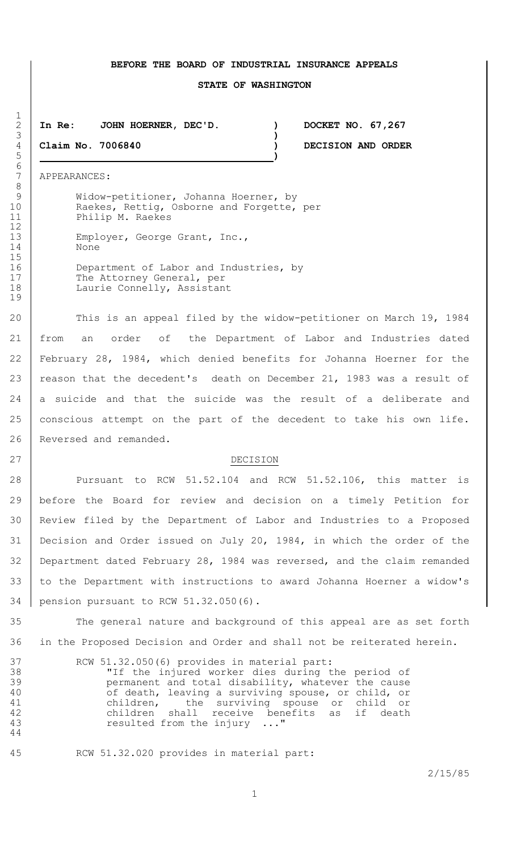#### **BEFORE THE BOARD OF INDUSTRIAL INSURANCE APPEALS**

#### **STATE OF WASHINGTON**

### **In Re: JOHN HOERNER, DEC'D. ) DOCKET NO. 67,267**

**Claim No. 7006840 ) DECISION AND ORDER**

APPEARANCES:

Widow-petitioner, Johanna Hoerner, by 10 | Raekes, Rettig, Osborne and Forgette, per Philip M. Raekes 13 Employer, George Grant, Inc.,

16 Department of Labor and Industries, by 17 The Attorney General, per 18 Laurie Connelly, Assistant

20 This is an appeal filed by the widow-petitioner on March 19, 1984 from an order of the Department of Labor and Industries dated February 28, 1984, which denied benefits for Johanna Hoerner for the 23 reason that the decedent's death on December 21, 1983 was a result of 24 a suicide and that the suicide was the result of a deliberate and conscious attempt on the part of the decedent to take his own life. 26 Reversed and remanded.

#### 27 DECISION

28 Pursuant to RCW 51.52.104 and RCW 51.52.106, this matter is before the Board for review and decision on a timely Petition for Review filed by the Department of Labor and Industries to a Proposed Decision and Order issued on July 20, 1984, in which the order of the Department dated February 28, 1984 was reversed, and the claim remanded to the Department with instructions to award Johanna Hoerner a widow's pension pursuant to RCW 51.32.050(6).

 The general nature and background of this appeal are as set forth in the Proposed Decision and Order and shall not be reiterated herein.

| 37 | RCW 51.32.050(6) provides in material part:        |
|----|----------------------------------------------------|
| 38 | "If the injured worker dies during the period of   |
| 39 | permanent and total disability, whatever the cause |
| 40 | of death, leaving a surviving spouse, or child, or |
| 41 | children, the surviving spouse or child or         |
| 42 | children shall receive benefits as if death        |
| 43 | resulted from the injury "                         |
| 44 |                                                    |

RCW 51.32.020 provides in material part:

2/15/85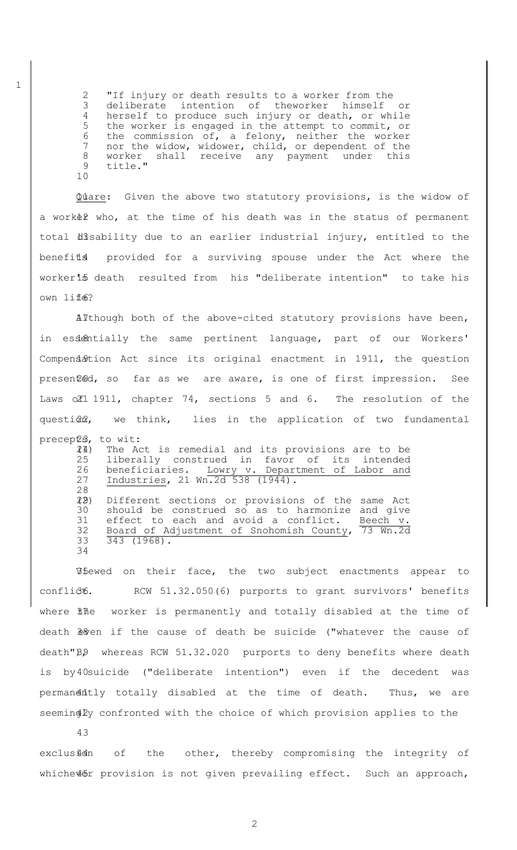"If injury or death results to a worker from the deliberate intention of theworker himself or herself to produce such injury or death, or while the worker is engaged in the attempt to commit, or the commission of, a felony, neither the worker nor the widow, widower, child, or dependent of the worker shall receive any payment under this 9 title." 10

Quare: Given the above two statutory provisions, is the widow of a work tho, at the time of his death was in the status of permanent total disability due to an earlier industrial injury, entitled to the benefits provided for a surviving spouse under the Act where the worker15 death resulted from his "deliberate intention" to take his own liffe?

Although both of the above-cited statutory provisions have been, in essentially the same pertinent language, part of our Workers' Compensation Act since its original enactment in 1911, the question presented, so far as we are aware, is one of first impression. See Laws of 1911, chapter 74, sections 5 and 6. The resolution of the questi@2, we think, lies in the application of two fundamental

precepts, to wit: (1) 24 The Act is remedial and its provisions are to be 25 liberally construed in favor of its intended 26 beneficiaries. Lowry v. Department of Labor and 27 Industries, 21 Wn.2d 538 (1944). 28 (2) 29 Different sections or provisions of the same Act 30 should be construed so as to harmonize and give 31 effect to each and avoid a conflict. Beech v. 32 Board of Adjustment of Snohomish County, 73 Wn.2d 33 343 (1968). 34

Whewed on their face, the two subject enactments appear to conflict. RCW 51.32.050(6) purports to grant survivors' benefits where *file* worker is permanently and totally disabled at the time of death  $\frac{1}{2}$ en if the cause of death be suicide ("whatever the cause of  $death "B.9$  whereas RCW 51.32.020 purports to deny benefits where death is by 40 suicide ("deliberate intention") even if the decedent was permanently totally disabled at the time of death. Thus, we are seeming Ly confronted with the choice of which provision applies to the

43

exclusidn of the other, thereby compromising the integrity of whiche $\&$ fr provision is not given prevailing effect. Such an approach,

1

2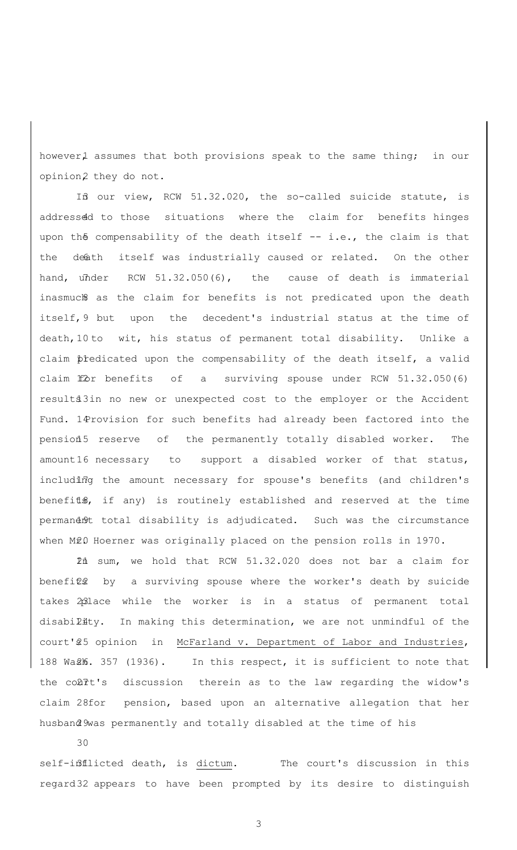however1 assumes that both provisions speak to the same thing; in our opinion2 they do not.

If our view, RCW 51.32.020, the so-called suicide statute, is addressed to those situations where the claim for benefits hinges upon the compensability of the death itself  $-$  i.e., the claim is that the death itself was industrially caused or related. On the other hand, under  $RCW$  51.32.050(6), the cause of death is immaterial inasmuch as the claim for benefits is not predicated upon the death itself, 9 but upon the decedent's industrial status at the time of death, 10 to wit, his status of permanent total disability. Unlike a claim predicated upon the compensability of the death itself, a valid claim  $f\&r$  benefits of a surviving spouse under RCW 51.32.050(6) results3in no new or unexpected cost to the employer or the Accident Fund. 14 rovision for such benefits had already been factored into the pension 5 reserve of the permanently totally disabled worker. The amount 16 necessary to support a disabled worker of that status, including the amount necessary for spouse's benefits (and children's benefits, if any) is routinely established and reserved at the time permandn9t total disability is adjudicated. Such was the circumstance when M20 Hoerner was originally placed on the pension rolls in 1970.

In sum, we hold that RCW 51.32.020 does not bar a claim for 21 benefits by a surviving spouse where the worker's death by suicide takes 2place while the worker is in a status of permanent total disability. In making this determination, we are not unmindful of the court'\$5 opinion in McFarland v. Department of Labor and Industries, 188 Wa£16. 357 (1936). In this respect, it is sufficient to note that the colit's discussion therein as to the law regarding the widow's claim 28for pension, based upon an alternative allegation that her husband 9was permanently and totally disabled at the time of his

30

self-inflicted death, is dictum. The court's discussion in this regard 32 appears to have been prompted by its desire to distinguish

3